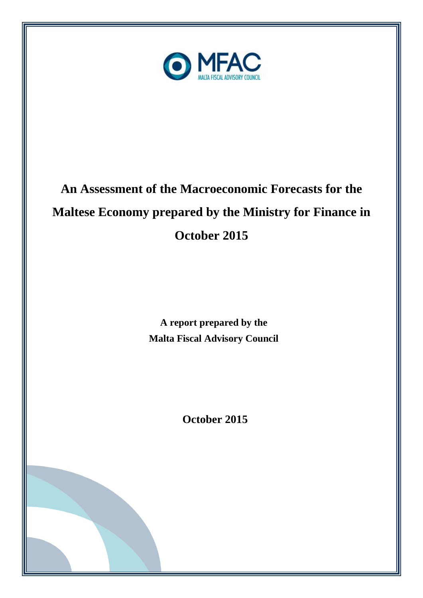

# **An Assessment of the Macroeconomic Forecasts for the Maltese Economy prepared by the Ministry for Finance in October 2015**

**A report prepared by the Malta Fiscal Advisory Council**

**October 2015**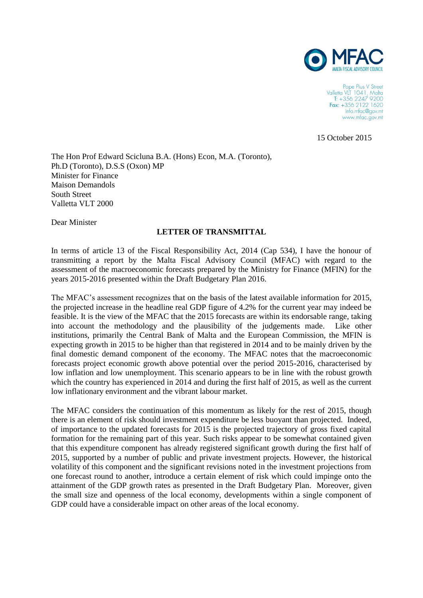

Pope Pius V Street Valletta VLT 1041, Malta<br>T: +356 2247 9200 Fax: +356 2122 1620 info.mfac@gov.mt www.mfac.gov.mt

15 October 2015

The Hon Prof Edward Scicluna B.A. (Hons) Econ, M.A. (Toronto), Ph.D (Toronto), D.S.S (Oxon) MP Minister for Finance Maison Demandols South Street Valletta VLT 2000

Dear Minister

#### **LETTER OF TRANSMITTAL**

In terms of article 13 of the Fiscal Responsibility Act, 2014 (Cap 534), I have the honour of transmitting a report by the Malta Fiscal Advisory Council (MFAC) with regard to the assessment of the macroeconomic forecasts prepared by the Ministry for Finance (MFIN) for the years 2015-2016 presented within the Draft Budgetary Plan 2016.

The MFAC's assessment recognizes that on the basis of the latest available information for 2015, the projected increase in the headline real GDP figure of 4.2% for the current year may indeed be feasible. It is the view of the MFAC that the 2015 forecasts are within its endorsable range, taking into account the methodology and the plausibility of the judgements made. Like other institutions, primarily the Central Bank of Malta and the European Commission, the MFIN is expecting growth in 2015 to be higher than that registered in 2014 and to be mainly driven by the final domestic demand component of the economy. The MFAC notes that the macroeconomic forecasts project economic growth above potential over the period 2015-2016, characterised by low inflation and low unemployment. This scenario appears to be in line with the robust growth which the country has experienced in 2014 and during the first half of 2015, as well as the current low inflationary environment and the vibrant labour market.

The MFAC considers the continuation of this momentum as likely for the rest of 2015, though there is an element of risk should investment expenditure be less buoyant than projected. Indeed, of importance to the updated forecasts for 2015 is the projected trajectory of gross fixed capital formation for the remaining part of this year. Such risks appear to be somewhat contained given that this expenditure component has already registered significant growth during the first half of 2015, supported by a number of public and private investment projects. However, the historical volatility of this component and the significant revisions noted in the investment projections from one forecast round to another, introduce a certain element of risk which could impinge onto the attainment of the GDP growth rates as presented in the Draft Budgetary Plan. Moreover, given the small size and openness of the local economy, developments within a single component of GDP could have a considerable impact on other areas of the local economy.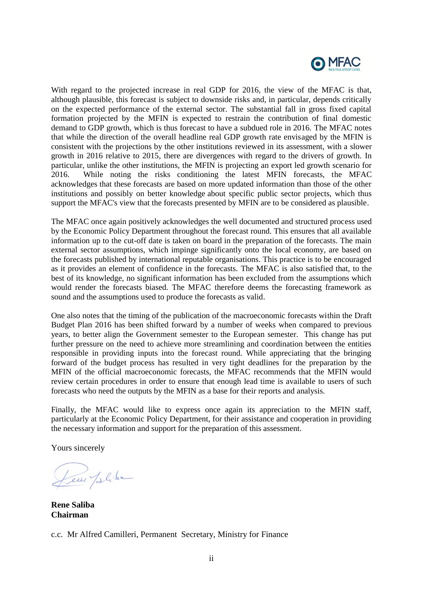

With regard to the projected increase in real GDP for 2016, the view of the MFAC is that, although plausible, this forecast is subject to downside risks and, in particular, depends critically on the expected performance of the external sector. The substantial fall in gross fixed capital formation projected by the MFIN is expected to restrain the contribution of final domestic demand to GDP growth, which is thus forecast to have a subdued role in 2016. The MFAC notes that while the direction of the overall headline real GDP growth rate envisaged by the MFIN is consistent with the projections by the other institutions reviewed in its assessment, with a slower growth in 2016 relative to 2015, there are divergences with regard to the drivers of growth. In particular, unlike the other institutions, the MFIN is projecting an export led growth scenario for 2016. While noting the risks conditioning the latest MFIN forecasts, the MFAC acknowledges that these forecasts are based on more updated information than those of the other institutions and possibly on better knowledge about specific public sector projects, which thus support the MFAC's view that the forecasts presented by MFIN are to be considered as plausible.

The MFAC once again positively acknowledges the well documented and structured process used by the Economic Policy Department throughout the forecast round. This ensures that all available information up to the cut-off date is taken on board in the preparation of the forecasts. The main external sector assumptions, which impinge significantly onto the local economy, are based on the forecasts published by international reputable organisations. This practice is to be encouraged as it provides an element of confidence in the forecasts. The MFAC is also satisfied that, to the best of its knowledge, no significant information has been excluded from the assumptions which would render the forecasts biased. The MFAC therefore deems the forecasting framework as sound and the assumptions used to produce the forecasts as valid.

One also notes that the timing of the publication of the macroeconomic forecasts within the Draft Budget Plan 2016 has been shifted forward by a number of weeks when compared to previous years, to better align the Government semester to the European semester. This change has put further pressure on the need to achieve more streamlining and coordination between the entities responsible in providing inputs into the forecast round. While appreciating that the bringing forward of the budget process has resulted in very tight deadlines for the preparation by the MFIN of the official macroeconomic forecasts, the MFAC recommends that the MFIN would review certain procedures in order to ensure that enough lead time is available to users of such forecasts who need the outputs by the MFIN as a base for their reports and analysis.

Finally, the MFAC would like to express once again its appreciation to the MFIN staff, particularly at the Economic Policy Department, for their assistance and cooperation in providing the necessary information and support for the preparation of this assessment.

Yours sincerely

Leur plike

**Rene Saliba Chairman**

c.c. Mr Alfred Camilleri, Permanent Secretary, Ministry for Finance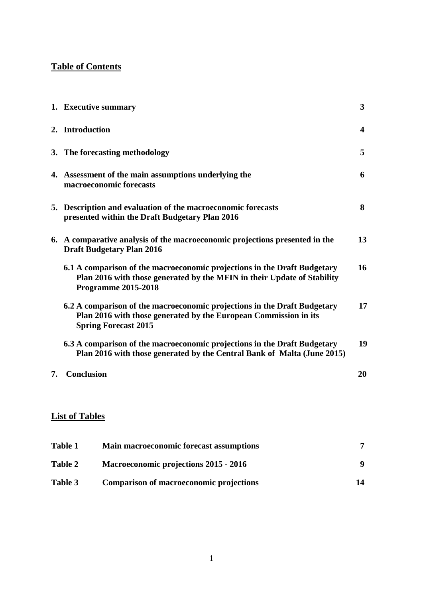### **Table of Contents**

|    | 1. Executive summary                                                                                                                                                              | $\overline{\mathbf{3}}$ |
|----|-----------------------------------------------------------------------------------------------------------------------------------------------------------------------------------|-------------------------|
|    | 2. Introduction                                                                                                                                                                   | 4                       |
|    | 3. The forecasting methodology                                                                                                                                                    | 5                       |
|    | 4. Assessment of the main assumptions underlying the<br>macroeconomic forecasts                                                                                                   | 6                       |
|    | 5. Description and evaluation of the macroeconomic forecasts<br>presented within the Draft Budgetary Plan 2016                                                                    | 8                       |
|    | 6. A comparative analysis of the macroeconomic projections presented in the<br><b>Draft Budgetary Plan 2016</b>                                                                   | 13                      |
|    | 6.1 A comparison of the macroeconomic projections in the Draft Budgetary<br>Plan 2016 with those generated by the MFIN in their Update of Stability<br><b>Programme 2015-2018</b> | 16                      |
|    | 6.2 A comparison of the macroeconomic projections in the Draft Budgetary<br>Plan 2016 with those generated by the European Commission in its<br><b>Spring Forecast 2015</b>       | 17                      |
|    | 6.3 A comparison of the macroeconomic projections in the Draft Budgetary<br>Plan 2016 with those generated by the Central Bank of Malta (June 2015)                               | 19                      |
| 7. | Conclusion                                                                                                                                                                        | 20                      |

# **List of Tables**

| Table 1        | <b>Main macroeconomic forecast assumptions</b> |    |
|----------------|------------------------------------------------|----|
| <b>Table 2</b> | Macroeconomic projections 2015 - 2016          |    |
| Table 3        | Comparison of macroeconomic projections        | 14 |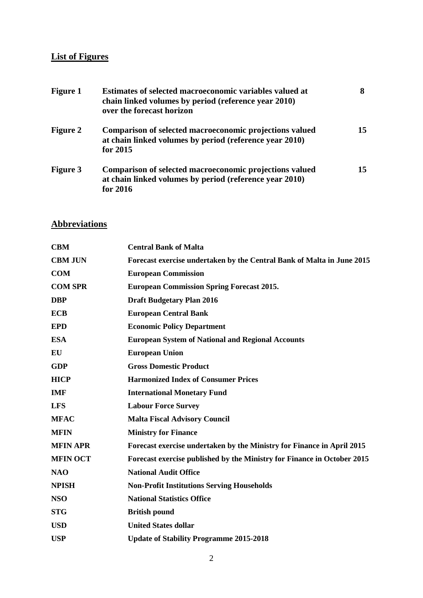# **List of Figures**

| <b>Figure 1</b> | <b>Estimates of selected macroeconomic variables valued at</b><br>chain linked volumes by period (reference year 2010)<br>over the forecast horizon |    |
|-----------------|-----------------------------------------------------------------------------------------------------------------------------------------------------|----|
| <b>Figure 2</b> | Comparison of selected macroeconomic projections valued<br>at chain linked volumes by period (reference year 2010)<br>for 2015                      | 15 |
| <b>Figure 3</b> | Comparison of selected macroeconomic projections valued<br>at chain linked volumes by period (reference year 2010)<br>for 2016                      | 15 |

# **Abbreviations**

| <b>CBM</b>      | <b>Central Bank of Malta</b>                                            |
|-----------------|-------------------------------------------------------------------------|
| <b>CBM JUN</b>  | Forecast exercise undertaken by the Central Bank of Malta in June 2015  |
| <b>COM</b>      | <b>European Commission</b>                                              |
| <b>COM SPR</b>  | <b>European Commission Spring Forecast 2015.</b>                        |
| <b>DBP</b>      | <b>Draft Budgetary Plan 2016</b>                                        |
| <b>ECB</b>      | <b>European Central Bank</b>                                            |
| <b>EPD</b>      | <b>Economic Policy Department</b>                                       |
| <b>ESA</b>      | <b>European System of National and Regional Accounts</b>                |
| EU              | <b>European Union</b>                                                   |
| <b>GDP</b>      | <b>Gross Domestic Product</b>                                           |
| <b>HICP</b>     | <b>Harmonized Index of Consumer Prices</b>                              |
| <b>IMF</b>      | <b>International Monetary Fund</b>                                      |
| <b>LFS</b>      | <b>Labour Force Survey</b>                                              |
| <b>MFAC</b>     | <b>Malta Fiscal Advisory Council</b>                                    |
| <b>MFIN</b>     | <b>Ministry for Finance</b>                                             |
| <b>MFIN APR</b> | Forecast exercise undertaken by the Ministry for Finance in April 2015  |
| <b>MFIN OCT</b> | Forecast exercise published by the Ministry for Finance in October 2015 |
| <b>NAO</b>      | <b>National Audit Office</b>                                            |
| <b>NPISH</b>    | <b>Non-Profit Institutions Serving Households</b>                       |
| <b>NSO</b>      | <b>National Statistics Office</b>                                       |
| <b>STG</b>      | <b>British pound</b>                                                    |
| <b>USD</b>      | <b>United States dollar</b>                                             |
| <b>USP</b>      | <b>Update of Stability Programme 2015-2018</b>                          |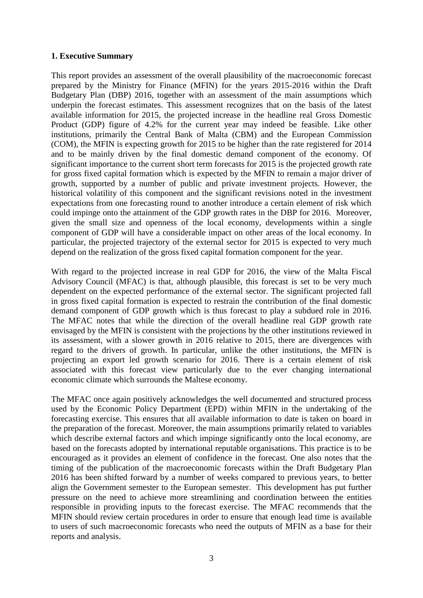#### **1. Executive Summary**

This report provides an assessment of the overall plausibility of the macroeconomic forecast prepared by the Ministry for Finance (MFIN) for the years 2015-2016 within the Draft Budgetary Plan (DBP) 2016, together with an assessment of the main assumptions which underpin the forecast estimates. This assessment recognizes that on the basis of the latest available information for 2015, the projected increase in the headline real Gross Domestic Product (GDP) figure of 4.2% for the current year may indeed be feasible. Like other institutions, primarily the Central Bank of Malta (CBM) and the European Commission (COM), the MFIN is expecting growth for 2015 to be higher than the rate registered for 2014 and to be mainly driven by the final domestic demand component of the economy. Of significant importance to the current short term forecasts for 2015 is the projected growth rate for gross fixed capital formation which is expected by the MFIN to remain a major driver of growth, supported by a number of public and private investment projects. However, the historical volatility of this component and the significant revisions noted in the investment expectations from one forecasting round to another introduce a certain element of risk which could impinge onto the attainment of the GDP growth rates in the DBP for 2016. Moreover, given the small size and openness of the local economy, developments within a single component of GDP will have a considerable impact on other areas of the local economy. In particular, the projected trajectory of the external sector for 2015 is expected to very much depend on the realization of the gross fixed capital formation component for the year.

With regard to the projected increase in real GDP for 2016, the view of the Malta Fiscal Advisory Council (MFAC) is that, although plausible, this forecast is set to be very much dependent on the expected performance of the external sector. The significant projected fall in gross fixed capital formation is expected to restrain the contribution of the final domestic demand component of GDP growth which is thus forecast to play a subdued role in 2016. The MFAC notes that while the direction of the overall headline real GDP growth rate envisaged by the MFIN is consistent with the projections by the other institutions reviewed in its assessment, with a slower growth in 2016 relative to 2015, there are divergences with regard to the drivers of growth. In particular, unlike the other institutions, the MFIN is projecting an export led growth scenario for 2016. There is a certain element of risk associated with this forecast view particularly due to the ever changing international economic climate which surrounds the Maltese economy.

The MFAC once again positively acknowledges the well documented and structured process used by the Economic Policy Department (EPD) within MFIN in the undertaking of the forecasting exercise. This ensures that all available information to date is taken on board in the preparation of the forecast. Moreover, the main assumptions primarily related to variables which describe external factors and which impinge significantly onto the local economy, are based on the forecasts adopted by international reputable organisations. This practice is to be encouraged as it provides an element of confidence in the forecast. One also notes that the timing of the publication of the macroeconomic forecasts within the Draft Budgetary Plan 2016 has been shifted forward by a number of weeks compared to previous years, to better align the Government semester to the European semester. This development has put further pressure on the need to achieve more streamlining and coordination between the entities responsible in providing inputs to the forecast exercise. The MFAC recommends that the MFIN should review certain procedures in order to ensure that enough lead time is available to users of such macroeconomic forecasts who need the outputs of MFIN as a base for their reports and analysis.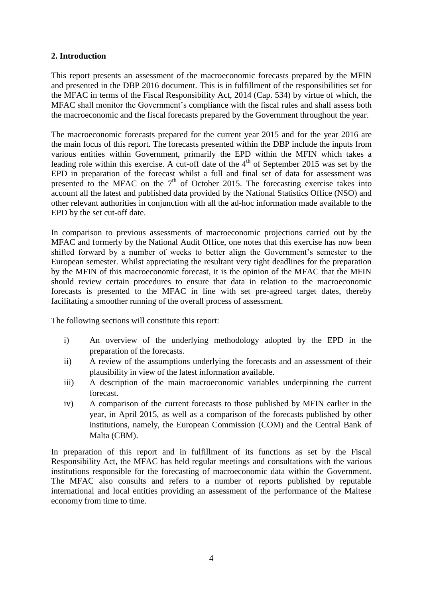#### **2. Introduction**

This report presents an assessment of the macroeconomic forecasts prepared by the MFIN and presented in the DBP 2016 document. This is in fulfillment of the responsibilities set for the MFAC in terms of the Fiscal Responsibility Act, 2014 (Cap. 534) by virtue of which, the MFAC shall monitor the Government's compliance with the fiscal rules and shall assess both the macroeconomic and the fiscal forecasts prepared by the Government throughout the year.

The macroeconomic forecasts prepared for the current year 2015 and for the year 2016 are the main focus of this report. The forecasts presented within the DBP include the inputs from various entities within Government, primarily the EPD within the MFIN which takes a leading role within this exercise. A cut-off date of the  $4<sup>th</sup>$  of September 2015 was set by the EPD in preparation of the forecast whilst a full and final set of data for assessment was presented to the MFAC on the  $7<sup>th</sup>$  of October 2015. The forecasting exercise takes into account all the latest and published data provided by the National Statistics Office (NSO) and other relevant authorities in conjunction with all the ad-hoc information made available to the EPD by the set cut-off date.

In comparison to previous assessments of macroeconomic projections carried out by the MFAC and formerly by the National Audit Office, one notes that this exercise has now been shifted forward by a number of weeks to better align the Government's semester to the European semester. Whilst appreciating the resultant very tight deadlines for the preparation by the MFIN of this macroeconomic forecast, it is the opinion of the MFAC that the MFIN should review certain procedures to ensure that data in relation to the macroeconomic forecasts is presented to the MFAC in line with set pre-agreed target dates, thereby facilitating a smoother running of the overall process of assessment.

The following sections will constitute this report:

- i) An overview of the underlying methodology adopted by the EPD in the preparation of the forecasts.
- ii) A review of the assumptions underlying the forecasts and an assessment of their plausibility in view of the latest information available.
- iii) A description of the main macroeconomic variables underpinning the current forecast.
- iv) A comparison of the current forecasts to those published by MFIN earlier in the year, in April 2015, as well as a comparison of the forecasts published by other institutions, namely, the European Commission (COM) and the Central Bank of Malta (CBM).

In preparation of this report and in fulfillment of its functions as set by the Fiscal Responsibility Act, the MFAC has held regular meetings and consultations with the various institutions responsible for the forecasting of macroeconomic data within the Government. The MFAC also consults and refers to a number of reports published by reputable international and local entities providing an assessment of the performance of the Maltese economy from time to time.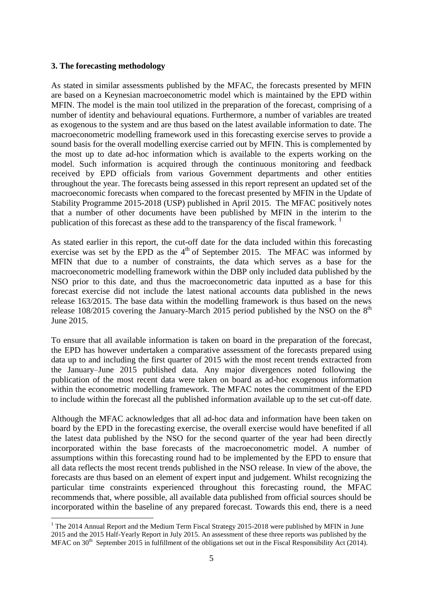#### **3. The forecasting methodology**

<u>.</u>

As stated in similar assessments published by the MFAC, the forecasts presented by MFIN are based on a Keynesian macroeconometric model which is maintained by the EPD within MFIN. The model is the main tool utilized in the preparation of the forecast, comprising of a number of identity and behavioural equations. Furthermore, a number of variables are treated as exogenous to the system and are thus based on the latest available information to date. The macroeconometric modelling framework used in this forecasting exercise serves to provide a sound basis for the overall modelling exercise carried out by MFIN. This is complemented by the most up to date ad-hoc information which is available to the experts working on the model. Such information is acquired through the continuous monitoring and feedback received by EPD officials from various Government departments and other entities throughout the year. The forecasts being assessed in this report represent an updated set of the macroeconomic forecasts when compared to the forecast presented by MFIN in the Update of Stability Programme 2015-2018 (USP) published in April 2015. The MFAC positively notes that a number of other documents have been published by MFIN in the interim to the publication of this forecast as these add to the transparency of the fiscal framework.<sup>1</sup>

As stated earlier in this report, the cut-off date for the data included within this forecasting exercise was set by the EPD as the 4<sup>th</sup> of September 2015. The MFAC was informed by MFIN that due to a number of constraints, the data which serves as a base for the macroeconometric modelling framework within the DBP only included data published by the NSO prior to this date, and thus the macroeconometric data inputted as a base for this forecast exercise did not include the latest national accounts data published in the news release 163/2015. The base data within the modelling framework is thus based on the news release 108/2015 covering the January-March 2015 period published by the NSO on the  $8<sup>th</sup>$ June 2015.

To ensure that all available information is taken on board in the preparation of the forecast, the EPD has however undertaken a comparative assessment of the forecasts prepared using data up to and including the first quarter of 2015 with the most recent trends extracted from the January–June 2015 published data. Any major divergences noted following the publication of the most recent data were taken on board as ad-hoc exogenous information within the econometric modelling framework. The MFAC notes the commitment of the EPD to include within the forecast all the published information available up to the set cut-off date.

Although the MFAC acknowledges that all ad-hoc data and information have been taken on board by the EPD in the forecasting exercise, the overall exercise would have benefited if all the latest data published by the NSO for the second quarter of the year had been directly incorporated within the base forecasts of the macroeconometric model. A number of assumptions within this forecasting round had to be implemented by the EPD to ensure that all data reflects the most recent trends published in the NSO release. In view of the above, the forecasts are thus based on an element of expert input and judgement. Whilst recognizing the particular time constraints experienced throughout this forecasting round, the MFAC recommends that, where possible, all available data published from official sources should be incorporated within the baseline of any prepared forecast. Towards this end, there is a need

<sup>&</sup>lt;sup>1</sup> The 2014 Annual Report and the Medium Term Fiscal Strategy 2015-2018 were published by MFIN in June 2015 and the 2015 Half-Yearly Report in July 2015. An assessment of these three reports was published by the MFAC on 30<sup>th</sup> September 2015 in fulfillment of the obligations set out in the Fiscal Responsibility Act (2014).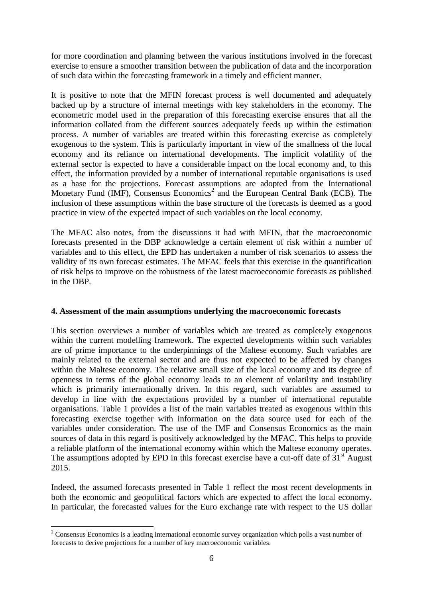for more coordination and planning between the various institutions involved in the forecast exercise to ensure a smoother transition between the publication of data and the incorporation of such data within the forecasting framework in a timely and efficient manner.

It is positive to note that the MFIN forecast process is well documented and adequately backed up by a structure of internal meetings with key stakeholders in the economy. The econometric model used in the preparation of this forecasting exercise ensures that all the information collated from the different sources adequately feeds up within the estimation process. A number of variables are treated within this forecasting exercise as completely exogenous to the system. This is particularly important in view of the smallness of the local economy and its reliance on international developments. The implicit volatility of the external sector is expected to have a considerable impact on the local economy and, to this effect, the information provided by a number of international reputable organisations is used as a base for the projections. Forecast assumptions are adopted from the International Monetary Fund (IMF), Consensus Economics<sup>2</sup> and the European Central Bank (ECB). The inclusion of these assumptions within the base structure of the forecasts is deemed as a good practice in view of the expected impact of such variables on the local economy.

The MFAC also notes, from the discussions it had with MFIN, that the macroeconomic forecasts presented in the DBP acknowledge a certain element of risk within a number of variables and to this effect, the EPD has undertaken a number of risk scenarios to assess the validity of its own forecast estimates. The MFAC feels that this exercise in the quantification of risk helps to improve on the robustness of the latest macroeconomic forecasts as published in the DBP.

#### **4. Assessment of the main assumptions underlying the macroeconomic forecasts**

This section overviews a number of variables which are treated as completely exogenous within the current modelling framework. The expected developments within such variables are of prime importance to the underpinnings of the Maltese economy. Such variables are mainly related to the external sector and are thus not expected to be affected by changes within the Maltese economy. The relative small size of the local economy and its degree of openness in terms of the global economy leads to an element of volatility and instability which is primarily internationally driven. In this regard, such variables are assumed to develop in line with the expectations provided by a number of international reputable organisations. Table 1 provides a list of the main variables treated as exogenous within this forecasting exercise together with information on the data source used for each of the variables under consideration. The use of the IMF and Consensus Economics as the main sources of data in this regard is positively acknowledged by the MFAC. This helps to provide a reliable platform of the international economy within which the Maltese economy operates. The assumptions adopted by EPD in this forecast exercise have a cut-off date of  $31<sup>st</sup>$  August 2015.

Indeed, the assumed forecasts presented in Table 1 reflect the most recent developments in both the economic and geopolitical factors which are expected to affect the local economy. In particular, the forecasted values for the Euro exchange rate with respect to the US dollar

<sup>1</sup> <sup>2</sup> Consensus Economics is a leading international economic survey organization which polls a vast number of forecasts to derive projections for a number of key macroeconomic variables.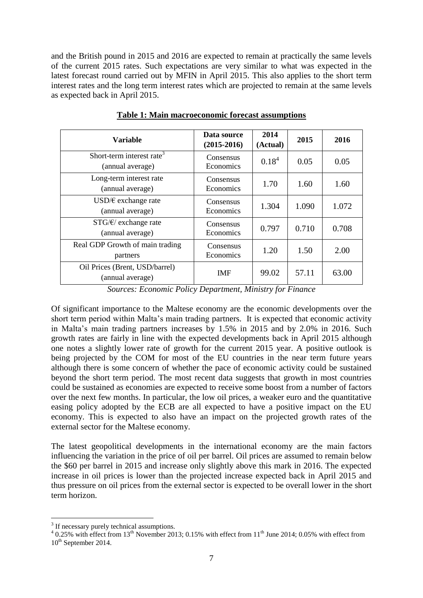and the British pound in 2015 and 2016 are expected to remain at practically the same levels of the current 2015 rates. Such expectations are very similar to what was expected in the latest forecast round carried out by MFIN in April 2015. This also applies to the short term interest rates and the long term interest rates which are projected to remain at the same levels as expected back in April 2015.

| Variable                                                  | Data source<br>$(2015-2016)$ | 2014<br>(Actual)  | 2015  | 2016  |
|-----------------------------------------------------------|------------------------------|-------------------|-------|-------|
| Short-term interest rate <sup>3</sup><br>(annual average) | Consensus<br>Economics       | 0.18 <sup>4</sup> | 0.05  | 0.05  |
| Long-term interest rate<br>(annual average)               | Consensus<br>Economics       | 1.70              | 1.60  | 1.60  |
| USD/ $\epsilon$ exchange rate<br>(annual average)         | Consensus<br>Economics       | 1.304             | 1.090 | 1.072 |
| $STG/E/$ exchange rate<br>(annual average)                | Consensus<br>Economics       | 0.797             | 0.710 | 0.708 |
| Real GDP Growth of main trading<br>partners               | Consensus<br>Economics       | 1.20              | 1.50  | 2.00  |
| Oil Prices (Brent, USD/barrel)<br>(annual average)        | <b>IMF</b>                   | 99.02             | 57.11 | 63.00 |

**Table 1: Main macroeconomic forecast assumptions**

*Sources: Economic Policy Department, Ministry for Finance*

Of significant importance to the Maltese economy are the economic developments over the short term period within Malta's main trading partners. It is expected that economic activity in Malta's main trading partners increases by 1.5% in 2015 and by 2.0% in 2016. Such growth rates are fairly in line with the expected developments back in April 2015 although one notes a slightly lower rate of growth for the current 2015 year. A positive outlook is being projected by the COM for most of the EU countries in the near term future years although there is some concern of whether the pace of economic activity could be sustained beyond the short term period. The most recent data suggests that growth in most countries could be sustained as economies are expected to receive some boost from a number of factors over the next few months. In particular, the low oil prices, a weaker euro and the quantitative easing policy adopted by the ECB are all expected to have a positive impact on the EU economy. This is expected to also have an impact on the projected growth rates of the external sector for the Maltese economy.

The latest geopolitical developments in the international economy are the main factors influencing the variation in the price of oil per barrel. Oil prices are assumed to remain below the \$60 per barrel in 2015 and increase only slightly above this mark in 2016. The expected increase in oil prices is lower than the projected increase expected back in April 2015 and thus pressure on oil prices from the external sector is expected to be overall lower in the short term horizon.

<u>.</u>

<sup>&</sup>lt;sup>3</sup> If necessary purely technical assumptions.

 $40.25\%$  with effect from 13<sup>th</sup> November 2013; 0.15% with effect from 11<sup>th</sup> June 2014; 0.05% with effect from  $10^{th}$  September 2014.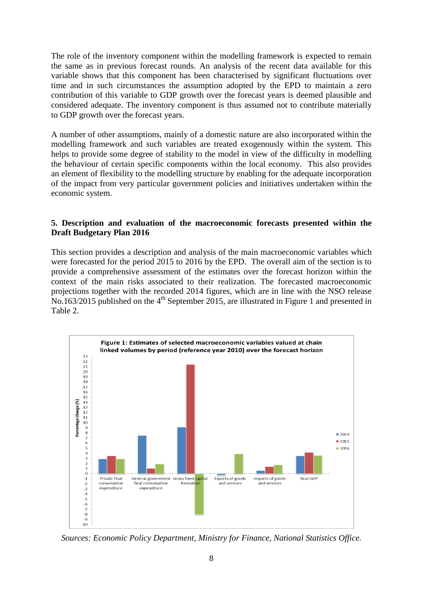The role of the inventory component within the modelling framework is expected to remain the same as in previous forecast rounds. An analysis of the recent data available for this variable shows that this component has been characterised by significant fluctuations over time and in such circumstances the assumption adopted by the EPD to maintain a zero contribution of this variable to GDP growth over the forecast years is deemed plausible and considered adequate. The inventory component is thus assumed not to contribute materially to GDP growth over the forecast years.

A number of other assumptions, mainly of a domestic nature are also incorporated within the modelling framework and such variables are treated exogenously within the system. This helps to provide some degree of stability to the model in view of the difficulty in modelling the behaviour of certain specific components within the local economy. This also provides an element of flexibility to the modelling structure by enabling for the adequate incorporation of the impact from very particular government policies and initiatives undertaken within the economic system.

#### **5. Description and evaluation of the macroeconomic forecasts presented within the Draft Budgetary Plan 2016**

This section provides a description and analysis of the main macroeconomic variables which were forecasted for the period 2015 to 2016 by the EPD. The overall aim of the section is to provide a comprehensive assessment of the estimates over the forecast horizon within the context of the main risks associated to their realization. The forecasted macroeconomic projections together with the recorded 2014 figures, which are in line with the NSO release No.163/2015 published on the 4<sup>th</sup> September 2015, are illustrated in Figure 1 and presented in Table 2.



*Sources: Economic Policy Department, Ministry for Finance, National Statistics Office.*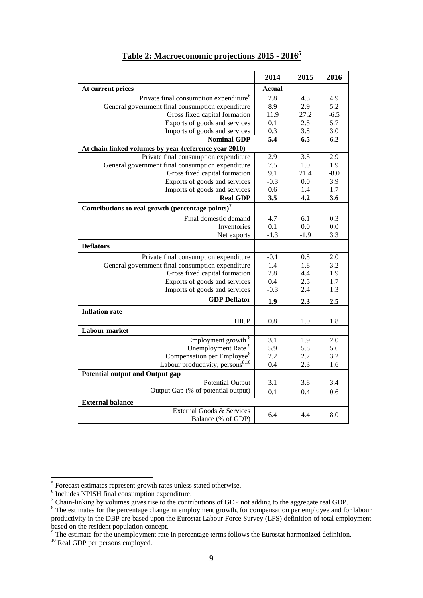|                                                               | 2014          | 2015   | 2016   |
|---------------------------------------------------------------|---------------|--------|--------|
| At current prices                                             | <b>Actual</b> |        |        |
| Private final consumption expenditure <sup>6</sup>            | 2.8           | 4.3    | 4.9    |
| General government final consumption expenditure              | 8.9           | 2.9    | 5.2    |
| Gross fixed capital formation                                 | 11.9          | 27.2   | $-6.5$ |
| Exports of goods and services                                 | 0.1           | 2.5    | 5.7    |
| Imports of goods and services                                 | 0.3           | 3.8    | 3.0    |
| <b>Nominal GDP</b>                                            | 5.4           | 6.5    | 6.2    |
| At chain linked volumes by year (reference year 2010)         |               |        |        |
| Private final consumption expenditure                         | 2.9           | 3.5    | 2.9    |
| General government final consumption expenditure              | 7.5           | 1.0    | 1.9    |
| Gross fixed capital formation                                 | 9.1           | 21.4   | $-8.0$ |
| Exports of goods and services                                 | $-0.3$        | 0.0    | 3.9    |
| Imports of goods and services                                 | 0.6           | 1.4    | 1.7    |
| <b>Real GDP</b>                                               | 3.5           | 4.2    | 3.6    |
| Contributions to real growth (percentage points) <sup>7</sup> |               |        |        |
| Final domestic demand                                         | 4.7           | 6.1    | 0.3    |
| Inventories                                                   | 0.1           | 0.0    | 0.0    |
| Net exports                                                   | $-1.3$        | $-1.9$ | 3.3    |
| <b>Deflators</b>                                              |               |        |        |
| Private final consumption expenditure                         | $-0.1$        | 0.8    | 2.0    |
| General government final consumption expenditure              | 1.4           | 1.8    | 3.2    |
| Gross fixed capital formation                                 | 2.8           | 4.4    | 1.9    |
| Exports of goods and services                                 | 0.4           | 2.5    | 1.7    |
| Imports of goods and services                                 | $-0.3$        | 2.4    | 1.3    |
| <b>GDP</b> Deflator                                           | 1.9           | 2.3    | 2.5    |
| <b>Inflation rate</b>                                         |               |        |        |
| <b>HICP</b>                                                   | 0.8           | 1.0    | 1.8    |
| <b>Labour</b> market                                          |               |        |        |
| Employment growth <sup>8</sup>                                | 3.1           | 1.9    | 2.0    |
| Unemployment Rate <sup>9</sup>                                | 5.9           | 5.8    | 5.6    |
| Compensation per Employee <sup>8</sup>                        | 2.2           | 2.7    | 3.2    |
| Labour productivity, persons <sup>8,10</sup>                  | 0.4           | 2.3    | 1.6    |
| <b>Potential output and Output gap</b>                        |               |        |        |
| <b>Potential Output</b>                                       | 3.1           | 3.8    | 3.4    |
| Output Gap (% of potential output)                            | 0.1           | 0.4    | 0.6    |
| <b>External balance</b>                                       |               |        |        |
| External Goods & Services                                     | 6.4           | 4.4    | 8.0    |
| Balance (% of GDP)                                            |               |        |        |

# **Table 2: Macroeconomic projections 2015 - 2016<sup>5</sup>**

 5 Forecast estimates represent growth rates unless stated otherwise.

<sup>6</sup> Includes NPISH final consumption expenditure.

 $<sup>7</sup>$  Chain-linking by volumes gives rise to the contributions of GDP not adding to the aggregate real GDP.</sup>

<sup>&</sup>lt;sup>8</sup> The estimates for the percentage change in employment growth, for compensation per employee and for labour productivity in the DBP are based upon the Eurostat Labour Force Survey (LFS) definition of total employment based on the resident population concept.

 $9<sup>9</sup>$  The estimate for the unemployment rate in percentage terms follows the Eurostat harmonized definition.

<sup>&</sup>lt;sup>10</sup> Real GDP per persons employed.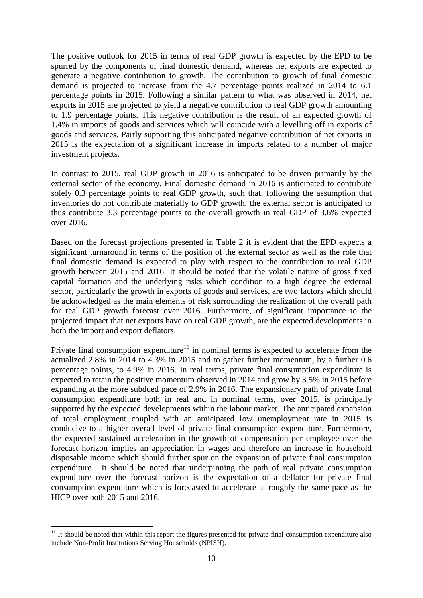The positive outlook for 2015 in terms of real GDP growth is expected by the EPD to be spurred by the components of final domestic demand, whereas net exports are expected to generate a negative contribution to growth. The contribution to growth of final domestic demand is projected to increase from the 4.7 percentage points realized in 2014 to 6.1 percentage points in 2015. Following a similar pattern to what was observed in 2014, net exports in 2015 are projected to yield a negative contribution to real GDP growth amounting to 1.9 percentage points. This negative contribution is the result of an expected growth of 1.4% in imports of goods and services which will coincide with a levelling off in exports of goods and services. Partly supporting this anticipated negative contribution of net exports in 2015 is the expectation of a significant increase in imports related to a number of major investment projects.

In contrast to 2015, real GDP growth in 2016 is anticipated to be driven primarily by the external sector of the economy. Final domestic demand in 2016 is anticipated to contribute solely 0.3 percentage points to real GDP growth, such that, following the assumption that inventories do not contribute materially to GDP growth, the external sector is anticipated to thus contribute 3.3 percentage points to the overall growth in real GDP of 3.6% expected over 2016.

Based on the forecast projections presented in Table 2 it is evident that the EPD expects a significant turnaround in terms of the position of the external sector as well as the role that final domestic demand is expected to play with respect to the contribution to real GDP growth between 2015 and 2016. It should be noted that the volatile nature of gross fixed capital formation and the underlying risks which condition to a high degree the external sector, particularly the growth in exports of goods and services, are two factors which should be acknowledged as the main elements of risk surrounding the realization of the overall path for real GDP growth forecast over 2016. Furthermore, of significant importance to the projected impact that net exports have on real GDP growth, are the expected developments in both the import and export deflators.

Private final consumption expenditure<sup>11</sup> in nominal terms is expected to accelerate from the actualized 2.8% in 2014 to 4.3% in 2015 and to gather further momentum, by a further 0.6 percentage points, to 4.9% in 2016. In real terms, private final consumption expenditure is expected to retain the positive momentum observed in 2014 and grow by 3.5% in 2015 before expanding at the more subdued pace of 2.9% in 2016. The expansionary path of private final consumption expenditure both in real and in nominal terms, over 2015, is principally supported by the expected developments within the labour market. The anticipated expansion of total employment coupled with an anticipated low unemployment rate in 2015 is conducive to a higher overall level of private final consumption expenditure. Furthermore, the expected sustained acceleration in the growth of compensation per employee over the forecast horizon implies an appreciation in wages and therefore an increase in household disposable income which should further spur on the expansion of private final consumption expenditure. It should be noted that underpinning the path of real private consumption expenditure over the forecast horizon is the expectation of a deflator for private final consumption expenditure which is forecasted to accelerate at roughly the same pace as the HICP over both 2015 and 2016.

<sup>1</sup>  $11$  It should be noted that within this report the figures presented for private final consumption expenditure also include Non-Profit Institutions Serving Households (NPISH).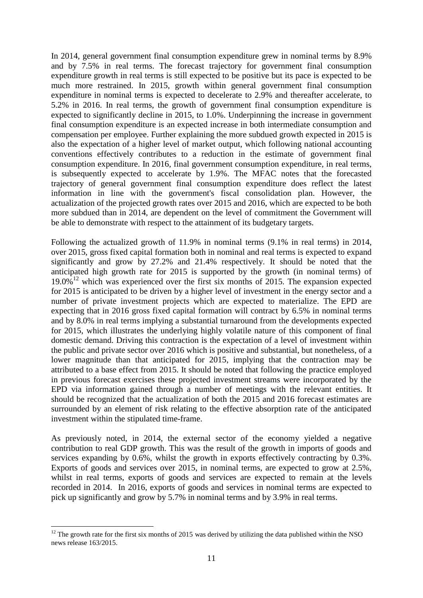In 2014, general government final consumption expenditure grew in nominal terms by 8.9% and by 7.5% in real terms. The forecast trajectory for government final consumption expenditure growth in real terms is still expected to be positive but its pace is expected to be much more restrained. In 2015, growth within general government final consumption expenditure in nominal terms is expected to decelerate to 2.9% and thereafter accelerate, to 5.2% in 2016. In real terms, the growth of government final consumption expenditure is expected to significantly decline in 2015, to 1.0%. Underpinning the increase in government final consumption expenditure is an expected increase in both intermediate consumption and compensation per employee. Further explaining the more subdued growth expected in 2015 is also the expectation of a higher level of market output, which following national accounting conventions effectively contributes to a reduction in the estimate of government final consumption expenditure. In 2016, final government consumption expenditure, in real terms, is subsequently expected to accelerate by 1.9%. The MFAC notes that the forecasted trajectory of general government final consumption expenditure does reflect the latest information in line with the government's fiscal consolidation plan. However, the actualization of the projected growth rates over 2015 and 2016, which are expected to be both more subdued than in 2014, are dependent on the level of commitment the Government will be able to demonstrate with respect to the attainment of its budgetary targets.

Following the actualized growth of 11.9% in nominal terms (9.1% in real terms) in 2014, over 2015, gross fixed capital formation both in nominal and real terms is expected to expand significantly and grow by 27.2% and 21.4% respectively. It should be noted that the anticipated high growth rate for 2015 is supported by the growth (in nominal terms) of 19.0% <sup>12</sup> which was experienced over the first six months of 2015. The expansion expected for 2015 is anticipated to be driven by a higher level of investment in the energy sector and a number of private investment projects which are expected to materialize. The EPD are expecting that in 2016 gross fixed capital formation will contract by 6.5% in nominal terms and by 8.0% in real terms implying a substantial turnaround from the developments expected for 2015, which illustrates the underlying highly volatile nature of this component of final domestic demand. Driving this contraction is the expectation of a level of investment within the public and private sector over 2016 which is positive and substantial, but nonetheless, of a lower magnitude than that anticipated for 2015, implying that the contraction may be attributed to a base effect from 2015. It should be noted that following the practice employed in previous forecast exercises these projected investment streams were incorporated by the EPD via information gained through a number of meetings with the relevant entities. It should be recognized that the actualization of both the 2015 and 2016 forecast estimates are surrounded by an element of risk relating to the effective absorption rate of the anticipated investment within the stipulated time-frame.

As previously noted, in 2014, the external sector of the economy yielded a negative contribution to real GDP growth. This was the result of the growth in imports of goods and services expanding by 0.6%, whilst the growth in exports effectively contracting by 0.3%. Exports of goods and services over 2015, in nominal terms, are expected to grow at 2.5%, whilst in real terms, exports of goods and services are expected to remain at the levels recorded in 2014. In 2016, exports of goods and services in nominal terms are expected to pick up significantly and grow by 5.7% in nominal terms and by 3.9% in real terms.

<sup>1</sup> <sup>12</sup> The growth rate for the first six months of 2015 was derived by utilizing the data published within the NSO news release 163/2015.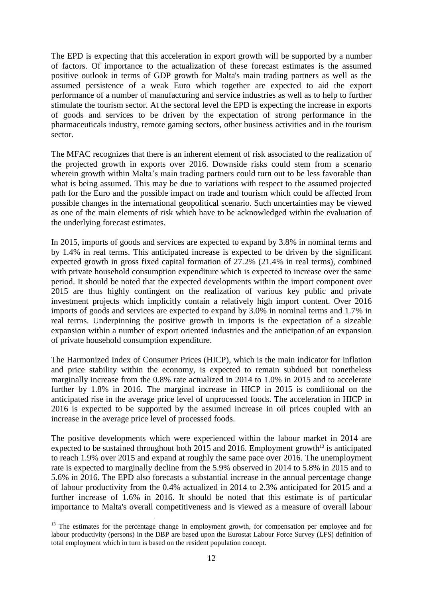The EPD is expecting that this acceleration in export growth will be supported by a number of factors. Of importance to the actualization of these forecast estimates is the assumed positive outlook in terms of GDP growth for Malta's main trading partners as well as the assumed persistence of a weak Euro which together are expected to aid the export performance of a number of manufacturing and service industries as well as to help to further stimulate the tourism sector. At the sectoral level the EPD is expecting the increase in exports of goods and services to be driven by the expectation of strong performance in the pharmaceuticals industry, remote gaming sectors, other business activities and in the tourism sector.

The MFAC recognizes that there is an inherent element of risk associated to the realization of the projected growth in exports over 2016. Downside risks could stem from a scenario wherein growth within Malta's main trading partners could turn out to be less favorable than what is being assumed. This may be due to variations with respect to the assumed projected path for the Euro and the possible impact on trade and tourism which could be affected from possible changes in the international geopolitical scenario. Such uncertainties may be viewed as one of the main elements of risk which have to be acknowledged within the evaluation of the underlying forecast estimates.

In 2015, imports of goods and services are expected to expand by 3.8% in nominal terms and by 1.4% in real terms. This anticipated increase is expected to be driven by the significant expected growth in gross fixed capital formation of 27.2% (21.4% in real terms), combined with private household consumption expenditure which is expected to increase over the same period. It should be noted that the expected developments within the import component over 2015 are thus highly contingent on the realization of various key public and private investment projects which implicitly contain a relatively high import content. Over 2016 imports of goods and services are expected to expand by 3.0% in nominal terms and 1.7% in real terms. Underpinning the positive growth in imports is the expectation of a sizeable expansion within a number of export oriented industries and the anticipation of an expansion of private household consumption expenditure.

The Harmonized Index of Consumer Prices (HICP), which is the main indicator for inflation and price stability within the economy, is expected to remain subdued but nonetheless marginally increase from the 0.8% rate actualized in 2014 to 1.0% in 2015 and to accelerate further by 1.8% in 2016. The marginal increase in HICP in 2015 is conditional on the anticipated rise in the average price level of unprocessed foods. The acceleration in HICP in 2016 is expected to be supported by the assumed increase in oil prices coupled with an increase in the average price level of processed foods.

The positive developments which were experienced within the labour market in 2014 are expected to be sustained throughout both  $2015$  and  $2016$ . Employment growth<sup>13</sup> is anticipated to reach 1.9% over 2015 and expand at roughly the same pace over 2016. The unemployment rate is expected to marginally decline from the 5.9% observed in 2014 to 5.8% in 2015 and to 5.6% in 2016. The EPD also forecasts a substantial increase in the annual percentage change of labour productivity from the 0.4% actualized in 2014 to 2.3% anticipated for 2015 and a further increase of 1.6% in 2016. It should be noted that this estimate is of particular importance to Malta's overall competitiveness and is viewed as a measure of overall labour

<u>.</u>

<sup>&</sup>lt;sup>13</sup> The estimates for the percentage change in employment growth, for compensation per employee and for labour productivity (persons) in the DBP are based upon the Eurostat Labour Force Survey (LFS) definition of total employment which in turn is based on the resident population concept.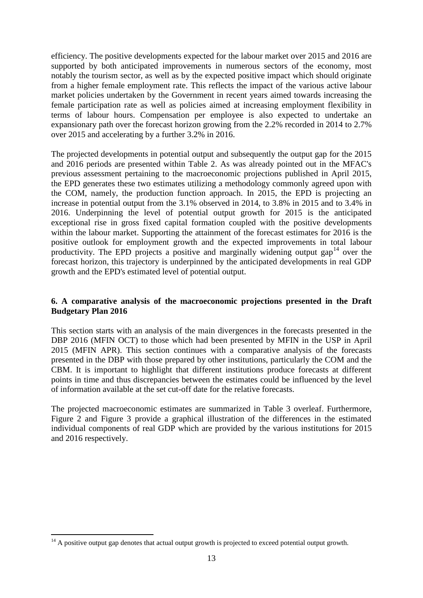efficiency. The positive developments expected for the labour market over 2015 and 2016 are supported by both anticipated improvements in numerous sectors of the economy, most notably the tourism sector, as well as by the expected positive impact which should originate from a higher female employment rate. This reflects the impact of the various active labour market policies undertaken by the Government in recent years aimed towards increasing the female participation rate as well as policies aimed at increasing employment flexibility in terms of labour hours. Compensation per employee is also expected to undertake an expansionary path over the forecast horizon growing from the 2.2% recorded in 2014 to 2.7% over 2015 and accelerating by a further 3.2% in 2016.

The projected developments in potential output and subsequently the output gap for the 2015 and 2016 periods are presented within Table 2. As was already pointed out in the MFAC's previous assessment pertaining to the macroeconomic projections published in April 2015, the EPD generates these two estimates utilizing a methodology commonly agreed upon with the COM, namely, the production function approach. In 2015, the EPD is projecting an increase in potential output from the 3.1% observed in 2014, to 3.8% in 2015 and to 3.4% in 2016. Underpinning the level of potential output growth for 2015 is the anticipated exceptional rise in gross fixed capital formation coupled with the positive developments within the labour market. Supporting the attainment of the forecast estimates for 2016 is the positive outlook for employment growth and the expected improvements in total labour productivity. The EPD projects a positive and marginally widening output gap<sup>14</sup> over the forecast horizon, this trajectory is underpinned by the anticipated developments in real GDP growth and the EPD's estimated level of potential output.

#### **6. A comparative analysis of the macroeconomic projections presented in the Draft Budgetary Plan 2016**

This section starts with an analysis of the main divergences in the forecasts presented in the DBP 2016 (MFIN OCT) to those which had been presented by MFIN in the USP in April 2015 (MFIN APR). This section continues with a comparative analysis of the forecasts presented in the DBP with those prepared by other institutions, particularly the COM and the CBM. It is important to highlight that different institutions produce forecasts at different points in time and thus discrepancies between the estimates could be influenced by the level of information available at the set cut-off date for the relative forecasts.

The projected macroeconomic estimates are summarized in Table 3 overleaf. Furthermore, Figure 2 and Figure 3 provide a graphical illustration of the differences in the estimated individual components of real GDP which are provided by the various institutions for 2015 and 2016 respectively.

1

 $14$  A positive output gap denotes that actual output growth is projected to exceed potential output growth.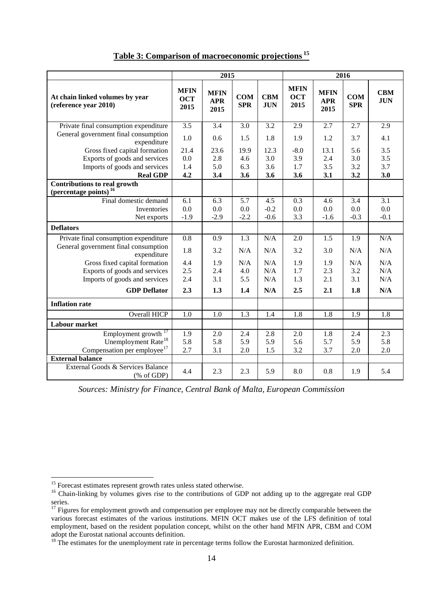|                                                                          | 2015                              |                                   |                          | 2016                     |                                   |                                   |                          |                          |
|--------------------------------------------------------------------------|-----------------------------------|-----------------------------------|--------------------------|--------------------------|-----------------------------------|-----------------------------------|--------------------------|--------------------------|
| At chain linked volumes by year<br>(reference year 2010)                 | <b>MFIN</b><br><b>OCT</b><br>2015 | <b>MFIN</b><br><b>APR</b><br>2015 | <b>COM</b><br><b>SPR</b> | <b>CBM</b><br><b>JUN</b> | <b>MFIN</b><br><b>OCT</b><br>2015 | <b>MFIN</b><br><b>APR</b><br>2015 | <b>COM</b><br><b>SPR</b> | <b>CBM</b><br><b>JUN</b> |
| Private final consumption expenditure                                    | 3.5                               | 3.4                               | 3.0                      | 3.2                      | 2.9                               | 2.7                               | 2.7                      | 2.9                      |
| General government final consumption<br>expenditure                      | 1.0                               | 0.6                               | 1.5                      | 1.8                      | 1.9                               | 1.2                               | 3.7                      | 4.1                      |
| Gross fixed capital formation                                            | 21.4                              | 23.6                              | 19.9                     | 12.3                     | $-8.0$                            | 13.1                              | 5.6                      | 3.5                      |
| Exports of goods and services                                            | 0.0                               | 2.8                               | 4.6                      | 3.0                      | 3.9                               | 2.4                               | 3.0                      | 3.5                      |
| Imports of goods and services                                            | 1.4                               | 5.0                               | 6.3                      | 3.6                      | 1.7                               | 3.5                               | 3.2                      | 3.7                      |
| <b>Real GDP</b>                                                          | 4.2                               | 3.4                               | 3.6                      | 3.6                      | 3.6                               | 3.1                               | 3.2                      | 3.0                      |
| <b>Contributions to real growth</b><br>(percentage points) <sup>16</sup> |                                   |                                   |                          |                          |                                   |                                   |                          |                          |
| Final domestic demand                                                    | 6.1                               | 6.3                               | $\overline{5.7}$         | 4.5                      | $\overline{0.3}$                  | 4.6                               | $\overline{3.4}$         | $\overline{3.1}$         |
| Inventories                                                              | 0.0                               | 0.0                               | 0.0                      | $-0.2$                   | 0.0                               | 0.0                               | 0.0                      | 0.0                      |
| Net exports                                                              | $-1.9$                            | $-2.9$                            | $-2.2$                   | $-0.6$                   | 3.3                               | $-1.6$                            | $-0.3$                   | $-0.1$                   |
| <b>Deflators</b>                                                         |                                   |                                   |                          |                          |                                   |                                   |                          |                          |
| Private final consumption expenditure                                    | 0.8                               | 0.9                               | 1.3                      | N/A                      | 2.0                               | 1.5                               | 1.9                      | N/A                      |
| General government final consumption<br>expenditure                      | 1.8                               | 3.2                               | N/A                      | N/A                      | 3.2                               | 3.0                               | N/A                      | N/A                      |
| Gross fixed capital formation                                            | 4.4                               | 1.9                               | N/A                      | N/A                      | 1.9                               | 1.9                               | N/A                      | N/A                      |
| Exports of goods and services                                            | 2.5                               | 2.4                               | 4.0                      | N/A                      | 1.7                               | 2.3                               | 3.2                      | N/A                      |
| Imports of goods and services                                            | 2.4                               | 3.1                               | 5.5                      | N/A                      | 1.3                               | 2.1                               | 3.1                      | N/A                      |
| <b>GDP</b> Deflator                                                      | 2.3                               | 1.3                               | 1.4                      | N/A                      | 2.5                               | 2.1                               | 1.8                      | N/A                      |
| <b>Inflation rate</b>                                                    |                                   |                                   |                          |                          |                                   |                                   |                          |                          |
| Overall HICP                                                             | 1.0                               | 1.0                               | 1.3                      | 1.4                      | 1.8                               | 1.8                               | 1.9                      | 1.8                      |
| <b>Labour market</b>                                                     |                                   |                                   |                          |                          |                                   |                                   |                          |                          |
| Employment growth                                                        | 1.9                               | 2.0                               | 2.4                      | 2.8                      | 2.0                               | 1.8                               | 2.4                      | 2.3                      |
| Unemployment Rate <sup>18</sup>                                          | 5.8                               | 5.8                               | 5.9                      | 5.9                      | 5.6                               | 5.7                               | 5.9                      | 5.8                      |
| Compensation per employee <sup>17</sup>                                  | 2.7                               | 3.1                               | 2.0                      | 1.5                      | 3.2                               | 3.7                               | 2.0                      | 2.0                      |
| <b>External balance</b>                                                  |                                   |                                   |                          |                          |                                   |                                   |                          |                          |
| External Goods & Services Balance<br>$(% \mathcal{L}_{0}$ of GDP)        | 4.4                               | 2.3                               | 2.3                      | 5.9                      | 8.0                               | 0.8                               | 1.9                      | 5.4                      |

**Table 3: Comparison of macroeconomic projections <sup>15</sup>**

*Sources: Ministry for Finance, Central Bank of Malta, European Commission*

<sup>1</sup>  $15$  Forecast estimates represent growth rates unless stated otherwise.

<sup>&</sup>lt;sup>16</sup> Chain-linking by volumes gives rise to the contributions of GDP not adding up to the aggregate real GDP series.

 $17$  Figures for employment growth and compensation per employee may not be directly comparable between the various forecast estimates of the various institutions. MFIN OCT makes use of the LFS definition of total employment, based on the resident population concept, whilst on the other hand MFIN APR, CBM and COM adopt the Eurostat national accounts definition.

 $18$  The estimates for the unemployment rate in percentage terms follow the Eurostat harmonized definition.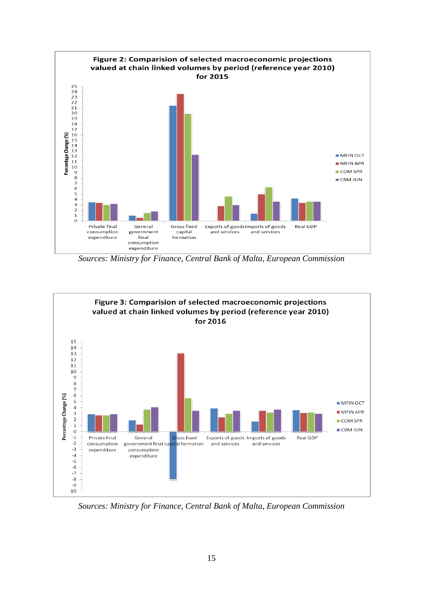

*Sources: Ministry for Finance, Central Bank of Malta, European Commission*



*Sources: Ministry for Finance, Central Bank of Malta, European Commission*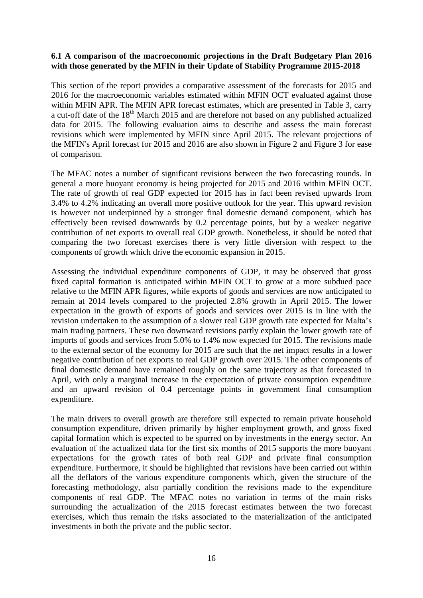#### **6.1 A comparison of the macroeconomic projections in the Draft Budgetary Plan 2016 with those generated by the MFIN in their Update of Stability Programme 2015-2018**

This section of the report provides a comparative assessment of the forecasts for 2015 and 2016 for the macroeconomic variables estimated within MFIN OCT evaluated against those within MFIN APR. The MFIN APR forecast estimates, which are presented in Table 3, carry a cut-off date of the  $18<sup>th</sup>$  March 2015 and are therefore not based on any published actualized data for 2015. The following evaluation aims to describe and assess the main forecast revisions which were implemented by MFIN since April 2015. The relevant projections of the MFIN's April forecast for 2015 and 2016 are also shown in Figure 2 and Figure 3 for ease of comparison.

The MFAC notes a number of significant revisions between the two forecasting rounds. In general a more buoyant economy is being projected for 2015 and 2016 within MFIN OCT. The rate of growth of real GDP expected for 2015 has in fact been revised upwards from 3.4% to 4.2% indicating an overall more positive outlook for the year. This upward revision is however not underpinned by a stronger final domestic demand component, which has effectively been revised downwards by 0.2 percentage points, but by a weaker negative contribution of net exports to overall real GDP growth. Nonetheless, it should be noted that comparing the two forecast exercises there is very little diversion with respect to the components of growth which drive the economic expansion in 2015.

Assessing the individual expenditure components of GDP, it may be observed that gross fixed capital formation is anticipated within MFIN OCT to grow at a more subdued pace relative to the MFIN APR figures, while exports of goods and services are now anticipated to remain at 2014 levels compared to the projected 2.8% growth in April 2015. The lower expectation in the growth of exports of goods and services over 2015 is in line with the revision undertaken to the assumption of a slower real GDP growth rate expected for Malta's main trading partners. These two downward revisions partly explain the lower growth rate of imports of goods and services from 5.0% to 1.4% now expected for 2015. The revisions made to the external sector of the economy for 2015 are such that the net impact results in a lower negative contribution of net exports to real GDP growth over 2015. The other components of final domestic demand have remained roughly on the same trajectory as that forecasted in April, with only a marginal increase in the expectation of private consumption expenditure and an upward revision of 0.4 percentage points in government final consumption expenditure.

The main drivers to overall growth are therefore still expected to remain private household consumption expenditure, driven primarily by higher employment growth, and gross fixed capital formation which is expected to be spurred on by investments in the energy sector. An evaluation of the actualized data for the first six months of 2015 supports the more buoyant expectations for the growth rates of both real GDP and private final consumption expenditure. Furthermore, it should be highlighted that revisions have been carried out within all the deflators of the various expenditure components which, given the structure of the forecasting methodology, also partially condition the revisions made to the expenditure components of real GDP. The MFAC notes no variation in terms of the main risks surrounding the actualization of the 2015 forecast estimates between the two forecast exercises, which thus remain the risks associated to the materialization of the anticipated investments in both the private and the public sector.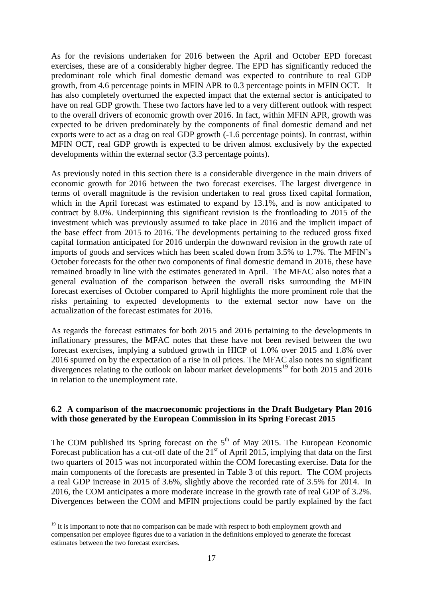As for the revisions undertaken for 2016 between the April and October EPD forecast exercises, these are of a considerably higher degree. The EPD has significantly reduced the predominant role which final domestic demand was expected to contribute to real GDP growth, from 4.6 percentage points in MFIN APR to 0.3 percentage points in MFIN OCT. It has also completely overturned the expected impact that the external sector is anticipated to have on real GDP growth. These two factors have led to a very different outlook with respect to the overall drivers of economic growth over 2016. In fact, within MFIN APR, growth was expected to be driven predominately by the components of final domestic demand and net exports were to act as a drag on real GDP growth (-1.6 percentage points). In contrast, within MFIN OCT, real GDP growth is expected to be driven almost exclusively by the expected developments within the external sector (3.3 percentage points).

As previously noted in this section there is a considerable divergence in the main drivers of economic growth for 2016 between the two forecast exercises. The largest divergence in terms of overall magnitude is the revision undertaken to real gross fixed capital formation, which in the April forecast was estimated to expand by 13.1%, and is now anticipated to contract by 8.0%. Underpinning this significant revision is the frontloading to 2015 of the investment which was previously assumed to take place in 2016 and the implicit impact of the base effect from 2015 to 2016. The developments pertaining to the reduced gross fixed capital formation anticipated for 2016 underpin the downward revision in the growth rate of imports of goods and services which has been scaled down from 3.5% to 1.7%. The MFIN's October forecasts for the other two components of final domestic demand in 2016, these have remained broadly in line with the estimates generated in April. The MFAC also notes that a general evaluation of the comparison between the overall risks surrounding the MFIN forecast exercises of October compared to April highlights the more prominent role that the risks pertaining to expected developments to the external sector now have on the actualization of the forecast estimates for 2016.

As regards the forecast estimates for both 2015 and 2016 pertaining to the developments in inflationary pressures, the MFAC notes that these have not been revised between the two forecast exercises, implying a subdued growth in HICP of 1.0% over 2015 and 1.8% over 2016 spurred on by the expectation of a rise in oil prices. The MFAC also notes no significant divergences relating to the outlook on labour market developments<sup>19</sup> for both 2015 and 2016 in relation to the unemployment rate.

#### **6.2 A comparison of the macroeconomic projections in the Draft Budgetary Plan 2016 with those generated by the European Commission in its Spring Forecast 2015**

The COM published its Spring forecast on the  $5<sup>th</sup>$  of May 2015. The European Economic Forecast publication has a cut-off date of the  $21<sup>st</sup>$  of April 2015, implying that data on the first two quarters of 2015 was not incorporated within the COM forecasting exercise. Data for the main components of the forecasts are presented in Table 3 of this report. The COM projects a real GDP increase in 2015 of 3.6%, slightly above the recorded rate of 3.5% for 2014. In 2016, the COM anticipates a more moderate increase in the growth rate of real GDP of 3.2%. Divergences between the COM and MFIN projections could be partly explained by the fact

<u>.</u>

 $19$  It is important to note that no comparison can be made with respect to both employment growth and compensation per employee figures due to a variation in the definitions employed to generate the forecast estimates between the two forecast exercises.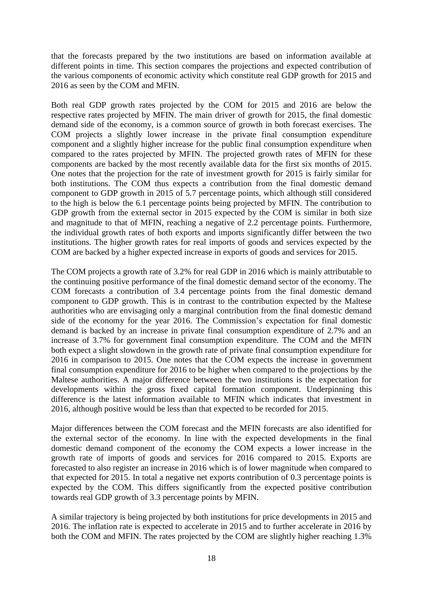that the forecasts prepared by the two institutions are based on information available at different points in time. This section compares the projections and expected contribution of the various components of economic activity which constitute real GDP growth for 2015 and 2016 as seen by the COM and MFIN.

Both real GDP growth rates projected by the COM for 2015 and 2016 are below the respective rates projected by MFIN. The main driver of growth for 2015, the final domestic demand side of the economy, is a common source of growth in both forecast exercises. The COM projects a slightly lower increase in the private final consumption expenditure component and a slightly higher increase for the public final consumption expenditure when compared to the rates projected by MFIN. The projected growth rates of MFIN for these components are backed by the most recently available data for the first six months of 2015. One notes that the projection for the rate of investment growth for 2015 is fairly similar for both institutions. The COM thus expects a contribution from the final domestic demand component to GDP growth in 2015 of 5.7 percentage points, which although still considered to the high is below the 6.1 percentage points being projected by MFIN. The contribution to GDP growth from the external sector in 2015 expected by the COM is similar in both size and magnitude to that of MFIN, reaching a negative of 2.2 percentage points. Furthermore, the individual growth rates of both exports and imports significantly differ between the two institutions. The higher growth rates for real imports of goods and services expected by the COM are backed by a higher expected increase in exports of goods and services for 2015.

The COM projects a growth rate of 3.2% for real GDP in 2016 which is mainly attributable to the continuing positive performance of the final domestic demand sector of the economy. The COM forecasts a contribution of 3.4 percentage points from the final domestic demand component to GDP growth. This is in contrast to the contribution expected by the Maltese authorities who are envisaging only a marginal contribution from the final domestic demand side of the economy for the year 2016. The Commission's expectation for final domestic demand is backed by an increase in private final consumption expenditure of 2.7% and an increase of 3.7% for government final consumption expenditure. The COM and the MFIN both expect a slight slowdown in the growth rate of private final consumption expenditure for 2016 in comparison to 2015. One notes that the COM expects the increase in government final consumption expenditure for 2016 to be higher when compared to the projections by the Maltese authorities. A major difference between the two institutions is the expectation for developments within the gross fixed capital formation component. Underpinning this difference is the latest information available to MFIN which indicates that investment in 2016, although positive would be less than that expected to be recorded for 2015.

Major differences between the COM forecast and the MFIN forecasts are also identified for the external sector of the economy. In line with the expected developments in the final domestic demand component of the economy the COM expects a lower increase in the growth rate of imports of goods and services for 2016 compared to 2015. Exports are forecasted to also register an increase in 2016 which is of lower magnitude when compared to that expected for 2015. In total a negative net exports contribution of 0.3 percentage points is expected by the COM. This differs significantly from the expected positive contribution towards real GDP growth of 3.3 percentage points by MFIN.

A similar trajectory is being projected by both institutions for price developments in 2015 and 2016. The inflation rate is expected to accelerate in 2015 and to further accelerate in 2016 by both the COM and MFIN. The rates projected by the COM are slightly higher reaching 1.3%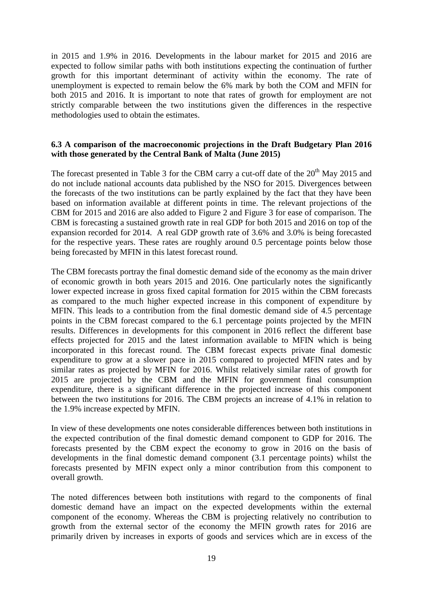in 2015 and 1.9% in 2016. Developments in the labour market for 2015 and 2016 are expected to follow similar paths with both institutions expecting the continuation of further growth for this important determinant of activity within the economy. The rate of unemployment is expected to remain below the 6% mark by both the COM and MFIN for both 2015 and 2016. It is important to note that rates of growth for employment are not strictly comparable between the two institutions given the differences in the respective methodologies used to obtain the estimates.

#### **6.3 A comparison of the macroeconomic projections in the Draft Budgetary Plan 2016 with those generated by the Central Bank of Malta (June 2015)**

The forecast presented in Table 3 for the CBM carry a cut-off date of the 20<sup>th</sup> May 2015 and do not include national accounts data published by the NSO for 2015. Divergences between the forecasts of the two institutions can be partly explained by the fact that they have been based on information available at different points in time. The relevant projections of the CBM for 2015 and 2016 are also added to Figure 2 and Figure 3 for ease of comparison. The CBM is forecasting a sustained growth rate in real GDP for both 2015 and 2016 on top of the expansion recorded for 2014. A real GDP growth rate of 3.6% and 3.0% is being forecasted for the respective years. These rates are roughly around 0.5 percentage points below those being forecasted by MFIN in this latest forecast round.

The CBM forecasts portray the final domestic demand side of the economy as the main driver of economic growth in both years 2015 and 2016. One particularly notes the significantly lower expected increase in gross fixed capital formation for 2015 within the CBM forecasts as compared to the much higher expected increase in this component of expenditure by MFIN. This leads to a contribution from the final domestic demand side of 4.5 percentage points in the CBM forecast compared to the 6.1 percentage points projected by the MFIN results. Differences in developments for this component in 2016 reflect the different base effects projected for 2015 and the latest information available to MFIN which is being incorporated in this forecast round. The CBM forecast expects private final domestic expenditure to grow at a slower pace in 2015 compared to projected MFIN rates and by similar rates as projected by MFIN for 2016. Whilst relatively similar rates of growth for 2015 are projected by the CBM and the MFIN for government final consumption expenditure, there is a significant difference in the projected increase of this component between the two institutions for 2016. The CBM projects an increase of 4.1% in relation to the 1.9% increase expected by MFIN.

In view of these developments one notes considerable differences between both institutions in the expected contribution of the final domestic demand component to GDP for 2016. The forecasts presented by the CBM expect the economy to grow in 2016 on the basis of developments in the final domestic demand component (3.1 percentage points) whilst the forecasts presented by MFIN expect only a minor contribution from this component to overall growth.

The noted differences between both institutions with regard to the components of final domestic demand have an impact on the expected developments within the external component of the economy. Whereas the CBM is projecting relatively no contribution to growth from the external sector of the economy the MFIN growth rates for 2016 are primarily driven by increases in exports of goods and services which are in excess of the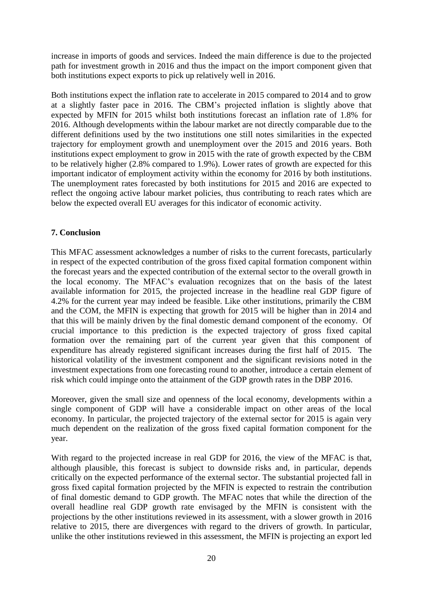increase in imports of goods and services. Indeed the main difference is due to the projected path for investment growth in 2016 and thus the impact on the import component given that both institutions expect exports to pick up relatively well in 2016.

Both institutions expect the inflation rate to accelerate in 2015 compared to 2014 and to grow at a slightly faster pace in 2016. The CBM's projected inflation is slightly above that expected by MFIN for 2015 whilst both institutions forecast an inflation rate of 1.8% for 2016. Although developments within the labour market are not directly comparable due to the different definitions used by the two institutions one still notes similarities in the expected trajectory for employment growth and unemployment over the 2015 and 2016 years. Both institutions expect employment to grow in 2015 with the rate of growth expected by the CBM to be relatively higher (2.8% compared to 1.9%). Lower rates of growth are expected for this important indicator of employment activity within the economy for 2016 by both institutions. The unemployment rates forecasted by both institutions for 2015 and 2016 are expected to reflect the ongoing active labour market policies, thus contributing to reach rates which are below the expected overall EU averages for this indicator of economic activity.

#### **7. Conclusion**

This MFAC assessment acknowledges a number of risks to the current forecasts, particularly in respect of the expected contribution of the gross fixed capital formation component within the forecast years and the expected contribution of the external sector to the overall growth in the local economy. The MFAC's evaluation recognizes that on the basis of the latest available information for 2015, the projected increase in the headline real GDP figure of 4.2% for the current year may indeed be feasible. Like other institutions, primarily the CBM and the COM, the MFIN is expecting that growth for 2015 will be higher than in 2014 and that this will be mainly driven by the final domestic demand component of the economy. Of crucial importance to this prediction is the expected trajectory of gross fixed capital formation over the remaining part of the current year given that this component of expenditure has already registered significant increases during the first half of 2015. The historical volatility of the investment component and the significant revisions noted in the investment expectations from one forecasting round to another, introduce a certain element of risk which could impinge onto the attainment of the GDP growth rates in the DBP 2016.

Moreover, given the small size and openness of the local economy, developments within a single component of GDP will have a considerable impact on other areas of the local economy. In particular, the projected trajectory of the external sector for 2015 is again very much dependent on the realization of the gross fixed capital formation component for the year.

With regard to the projected increase in real GDP for 2016, the view of the MFAC is that, although plausible, this forecast is subject to downside risks and, in particular, depends critically on the expected performance of the external sector. The substantial projected fall in gross fixed capital formation projected by the MFIN is expected to restrain the contribution of final domestic demand to GDP growth. The MFAC notes that while the direction of the overall headline real GDP growth rate envisaged by the MFIN is consistent with the projections by the other institutions reviewed in its assessment, with a slower growth in 2016 relative to 2015, there are divergences with regard to the drivers of growth. In particular, unlike the other institutions reviewed in this assessment, the MFIN is projecting an export led